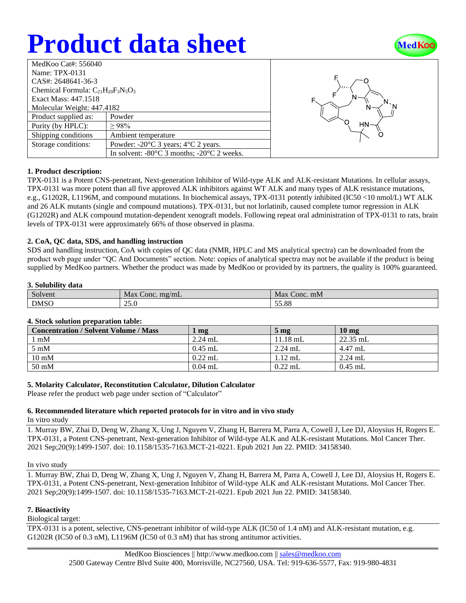# **Product data sheet**



| MedKoo Cat#: $556040$                     |                                                                |  |  |  |
|-------------------------------------------|----------------------------------------------------------------|--|--|--|
| Name: TPX-0131                            |                                                                |  |  |  |
| CAS#: 2648641-36-3                        |                                                                |  |  |  |
| Chemical Formula: $C_{21}H_{20}F_3N_5O_3$ |                                                                |  |  |  |
| Exact Mass: 447.1518                      |                                                                |  |  |  |
| Molecular Weight: 447.4182                |                                                                |  |  |  |
| Product supplied as:                      | Powder                                                         |  |  |  |
| Purity (by HPLC):                         | >98%                                                           |  |  |  |
| Shipping conditions                       | Ambient temperature                                            |  |  |  |
| Storage conditions:                       | Powder: $-20^{\circ}$ C 3 years; $4^{\circ}$ C 2 years.        |  |  |  |
|                                           | In solvent: $-80^{\circ}$ C 3 months; $-20^{\circ}$ C 2 weeks. |  |  |  |



## **1. Product description:**

TPX-0131 is a Potent CNS-penetrant, Next-generation Inhibitor of Wild-type ALK and ALK-resistant Mutations. In cellular assays, TPX-0131 was more potent than all five approved ALK inhibitors against WT ALK and many types of ALK resistance mutations, e.g., G1202R, L1196M, and compound mutations. In biochemical assays, TPX-0131 potently inhibited (IC50 <10 nmol/L) WT ALK and 26 ALK mutants (single and compound mutations). TPX-0131, but not lorlatinib, caused complete tumor regression in ALK (G1202R) and ALK compound mutation-dependent xenograft models. Following repeat oral administration of TPX-0131 to rats, brain levels of TPX-0131 were approximately 66% of those observed in plasma.

## **2. CoA, QC data, SDS, and handling instruction**

SDS and handling instruction, CoA with copies of QC data (NMR, HPLC and MS analytical spectra) can be downloaded from the product web page under "QC And Documents" section. Note: copies of analytical spectra may not be available if the product is being supplied by MedKoo partners. Whether the product was made by MedKoo or provided by its partners, the quality is 100% guaranteed.

### **3. Solubility data**

| $\sim$      | Max                          | Max      |
|-------------|------------------------------|----------|
| Solvent     | Conc. $mg/mL$                | Conc. mM |
| <b>DMSO</b> | $\sim$ $\sim$ $\sim$<br>25.U | 55.88    |

## **4. Stock solution preparation table:**

| <b>Concentration / Solvent Volume / Mass</b> | mg        | 5 <sub>mg</sub> | $10 \text{ mg}$ |
|----------------------------------------------|-----------|-----------------|-----------------|
| $1 \text{ mM}$                               | $2.24$ mL | $11.18$ mL      | $22.35$ mL      |
| $5 \text{ mM}$                               | $0.45$ mL | $2.24$ mL       | 4.47 mL         |
| $10 \text{ mM}$                              | $0.22$ mL | $1.12$ mL       | $2.24$ mL       |
| $50 \text{ mM}$                              | $0.04$ mL | $0.22$ mL       | $0.45$ mL       |

## **5. Molarity Calculator, Reconstitution Calculator, Dilution Calculator**

Please refer the product web page under section of "Calculator"

# **6. Recommended literature which reported protocols for in vitro and in vivo study**

In vitro study

1. Murray BW, Zhai D, Deng W, Zhang X, Ung J, Nguyen V, Zhang H, Barrera M, Parra A, Cowell J, Lee DJ, Aloysius H, Rogers E. TPX-0131, a Potent CNS-penetrant, Next-generation Inhibitor of Wild-type ALK and ALK-resistant Mutations. Mol Cancer Ther. 2021 Sep;20(9):1499-1507. doi: 10.1158/1535-7163.MCT-21-0221. Epub 2021 Jun 22. PMID: 34158340.

#### In vivo study

1. Murray BW, Zhai D, Deng W, Zhang X, Ung J, Nguyen V, Zhang H, Barrera M, Parra A, Cowell J, Lee DJ, Aloysius H, Rogers E. TPX-0131, a Potent CNS-penetrant, Next-generation Inhibitor of Wild-type ALK and ALK-resistant Mutations. Mol Cancer Ther. 2021 Sep;20(9):1499-1507. doi: 10.1158/1535-7163.MCT-21-0221. Epub 2021 Jun 22. PMID: 34158340.

## **7. Bioactivity**

Biological target:

TPX-0131 is a potent, selective, CNS-penetrant inhibitor of wild-type ALK (IC50 of 1.4 nM) and ALK-resistant mutation, e.g. G1202R (IC50 of 0.3 nM), L1196M (IC50 of 0.3 nM) that has strong antitumor activities.